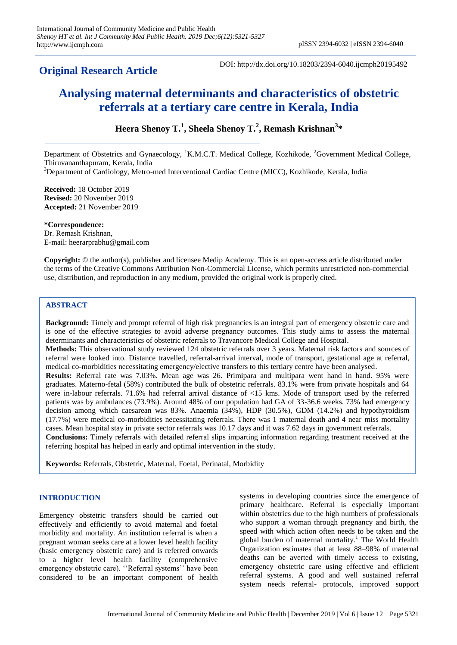## **Original Research Article**

DOI: http://dx.doi.org/10.18203/2394-6040.ijcmph20195492

# **Analysing maternal determinants and characteristics of obstetric referrals at a tertiary care centre in Kerala, India**

## **Heera Shenoy T.<sup>1</sup> , Sheela Shenoy T.<sup>2</sup> , Remash Krishnan<sup>3</sup> \***

Department of Obstetrics and Gynaecology, <sup>1</sup>K.M.C.T. Medical College, Kozhikode, <sup>2</sup>Government Medical College, Thiruvananthapuram, Kerala, India

<sup>3</sup>Department of Cardiology, Metro-med Interventional Cardiac Centre (MICC), Kozhikode, Kerala, India

**Received:** 18 October 2019 **Revised:** 20 November 2019 **Accepted:** 21 November 2019

**\*Correspondence:** Dr. Remash Krishnan, E-mail: heerarprabhu@gmail.com

**Copyright:** © the author(s), publisher and licensee Medip Academy. This is an open-access article distributed under the terms of the Creative Commons Attribution Non-Commercial License, which permits unrestricted non-commercial use, distribution, and reproduction in any medium, provided the original work is properly cited.

## **ABSTRACT**

**Background:** Timely and prompt referral of high risk pregnancies is an integral part of emergency obstetric care and is one of the effective strategies to avoid adverse pregnancy outcomes. This study aims to assess the maternal determinants and characteristics of obstetric referrals to Travancore Medical College and Hospital. **Methods:** This observational study reviewed 124 obstetric referrals over 3 years. Maternal risk factors and sources of referral were looked into. Distance travelled, referral-arrival interval, mode of transport, gestational age at referral, medical co-morbidities necessitating emergency/elective transfers to this tertiary centre have been analysed. **Results:** Referral rate was 7.03%. Mean age was 26. Primipara and multipara went hand in hand. 95% were graduates. Materno-fetal (58%) contributed the bulk of obstetric referrals. 83.1% were from private hospitals and 64 were in-labour referrals. 71.6% had referral arrival distance of <15 kms. Mode of transport used by the referred patients was by ambulances (73.9%). Around 48% of our population had GA of 33-36.6 weeks. 73% had emergency decision among which caesarean was 83%. Anaemia (34%), HDP (30.5%), GDM (14.2%) and hypothyroidism (17.7%) were medical co-morbidities necessitating referrals. There was 1 maternal death and 4 near miss mortality cases. Mean hospital stay in private sector referrals was 10.17 days and it was 7.62 days in government referrals. **Conclusions:** Timely referrals with detailed referral slips imparting information regarding treatment received at the referring hospital has helped in early and optimal intervention in the study.

**Keywords:** Referrals, Obstetric, Maternal, Foetal, Perinatal, Morbidity

## **INTRODUCTION**

Emergency obstetric transfers should be carried out effectively and efficiently to avoid maternal and foetal morbidity and mortality. An institution referral is when a pregnant woman seeks care at a lower level health facility (basic emergency obstetric care) and is referred onwards to a higher level health facility (comprehensive emergency obstetric care). "Referral systems" have been considered to be an important component of health

systems in developing countries since the emergence of primary healthcare. Referral is especially important within obstetrics due to the high numbers of professionals who support a woman through pregnancy and birth, the speed with which action often needs to be taken and the global burden of maternal mortality.<sup>1</sup> The World Health Organization estimates that at least 88–98% of maternal deaths can be averted with timely access to existing, emergency obstetric care using effective and efficient referral systems. A good and well sustained referral system needs referral- protocols, improved support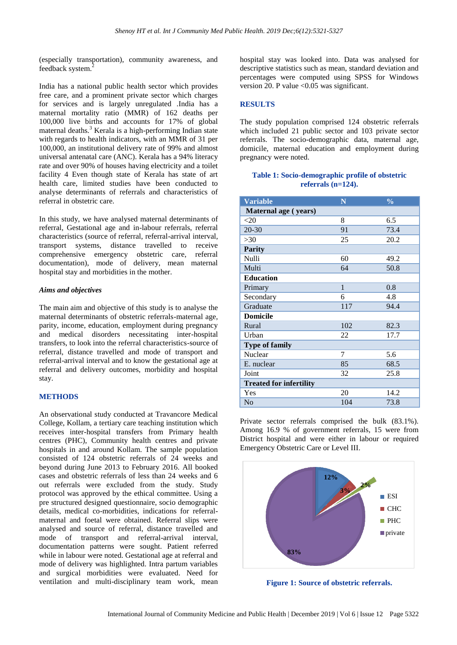(especially transportation), community awareness, and feedback system.<sup>2</sup>

India has a national public health sector which provides free care, and a prominent private sector which charges for services and is largely unregulated .India has a maternal mortality ratio (MMR) of 162 deaths per 100,000 live births and accounts for 17% of global maternal deaths.<sup>3</sup> Kerala is a high-performing Indian state with regards to health indicators, with an MMR of 31 per 100,000, an institutional delivery rate of 99% and almost universal antenatal care (ANC). Kerala has a 94% literacy rate and over 90% of houses having electricity and a toilet facility 4 Even though state of Kerala has state of art health care, limited studies have been conducted to analyse determinants of referrals and characteristics of referral in obstetric care.

In this study, we have analysed maternal determinants of referral, Gestational age and in-labour referrals, referral characteristics (source of referral, referral-arrival interval, transport systems, distance travelled to receive comprehensive emergency obstetric care, referral documentation), mode of delivery, mean maternal hospital stay and morbidities in the mother.

## *Aims and objectives*

The main aim and objective of this study is to analyse the maternal determinants of obstetric referrals-maternal age, parity, income, education, employment during pregnancy and medical disorders necessitating inter-hospital transfers, to look into the referral characteristics-source of referral, distance travelled and mode of transport and referral-arrival interval and to know the gestational age at referral and delivery outcomes, morbidity and hospital stay.

## **METHODS**

An observational study conducted at Travancore Medical College, Kollam, a tertiary care teaching institution which receives inter-hospital transfers from Primary health centres (PHC), Community health centres and private hospitals in and around Kollam. The sample population consisted of 124 obstetric referrals of 24 weeks and beyond during June 2013 to February 2016. All booked cases and obstetric referrals of less than 24 weeks and 6 out referrals were excluded from the study. Study protocol was approved by the ethical committee. Using a pre structured designed questionnaire, socio demographic details, medical co-morbidities, indications for referralmaternal and foetal were obtained. Referral slips were analysed and source of referral, distance travelled and mode of transport and referral-arrival interval, documentation patterns were sought. Patient referred while in labour were noted. Gestational age at referral and mode of delivery was highlighted. Intra partum variables and surgical morbidities were evaluated. Need for ventilation and multi-disciplinary team work, mean

hospital stay was looked into. Data was analysed for descriptive statistics such as mean, standard deviation and percentages were computed using SPSS for Windows version 20. P value <0.05 was significant.

## **RESULTS**

The study population comprised 124 obstetric referrals which included 21 public sector and 103 private sector referrals. The socio-demographic data, maternal age, domicile, maternal education and employment during pregnancy were noted.

## **Table 1: Socio-demographic profile of obstetric referrals (n=124).**

| <b>Variable</b>                | N            | $\frac{0}{0}$ |
|--------------------------------|--------------|---------------|
| Maternal age (years)           |              |               |
| $<$ 20                         | 8            | 6.5           |
| $20 - 30$                      | 91           | 73.4          |
| >30                            | 25           | 20.2          |
| <b>Parity</b>                  |              |               |
| Nulli                          | 60           | 49.2          |
| Multi                          | 64           | 50.8          |
| <b>Education</b>               |              |               |
| Primary                        | $\mathbf{1}$ | 0.8           |
| Secondary                      | 6            | 4.8           |
| Graduate                       | 117          | 94.4          |
| <b>Domicile</b>                |              |               |
| Rural                          | 102          | 82.3          |
| Urban                          | 22           | 17.7          |
| <b>Type of family</b>          |              |               |
| Nuclear                        | 7            | 5.6           |
| E. nuclear                     | 85           | 68.5          |
| Joint                          | 32           | 25.8          |
| <b>Treated for infertility</b> |              |               |
| Yes                            | 20           | 14.2          |
| N <sub>0</sub>                 | 104          | 73.8          |

Private sector referrals comprised the bulk (83.1%). Among 16.9 % of government referrals, 15 were from District hospital and were either in labour or required Emergency Obstetric Care or Level III.



**Figure 1: Source of obstetric referrals.**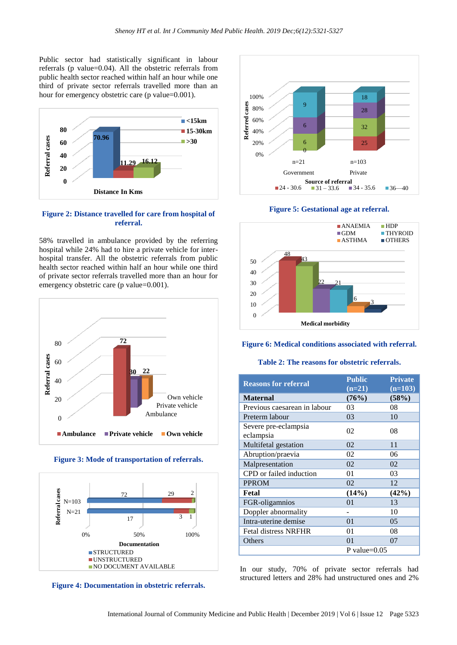Public sector had statistically significant in labour referrals (p value=0.04). All the obstetric referrals from public health sector reached within half an hour while one third of private sector referrals travelled more than an hour for emergency obstetric care (p value=0.001).



## **Figure 2: Distance travelled for care from hospital of referral.**

58% travelled in ambulance provided by the referring hospital while 24% had to hire a private vehicle for interhospital transfer. All the obstetric referrals from public health sector reached within half an hour while one third of private sector referrals travelled more than an hour for emergency obstetric care (p value=0.001).







**Figure 4: Documentation in obstetric referrals.**



**Figure 5: Gestational age at referral.**



#### **Figure 6: Medical conditions associated with referral.**

#### **Table 2: The reasons for obstetric referrals.**

| <b>Reasons for referral</b>       | <b>Public</b><br>$(n=21)$ | <b>Private</b><br>$(n=103)$ |
|-----------------------------------|---------------------------|-----------------------------|
| <b>Maternal</b>                   | (76%)                     | (58%)                       |
| Previous caesarean in labour      | 03                        | 08                          |
| Preterm labour                    | 03                        | 10                          |
| Severe pre-eclampsia<br>eclampsia | 02                        | 08                          |
| Multifetal gestation              | 02                        | 11                          |
| Abruption/praevia                 | 02                        | 06                          |
| Malpresentation                   | 02                        | 02                          |
| CPD or failed induction           | 01                        | 03                          |
| <b>PPROM</b>                      | 02                        | 12                          |
| Fetal                             | (14%)                     | (42%)                       |
| FGR-oligamnios                    | 01                        | 13                          |
| Doppler abnormality               |                           | 10                          |
| Intra-uterine demise              | 01                        | 05                          |
| <b>Fetal distress NRFHR</b>       | 01                        | 08                          |
| Others                            | 01                        | 07                          |
|                                   | P value= $0.05$           |                             |

In our study, 70% of private sector referrals had structured letters and 28% had unstructured ones and 2%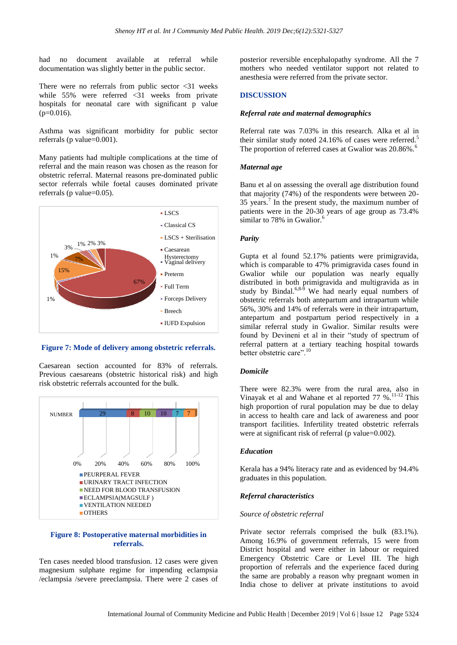had no document available at referral while documentation was slightly better in the public sector.

There were no referrals from public sector  $\langle 31 \rangle$  weeks while 55% were referred <31 weeks from private hospitals for neonatal care with significant p value  $(p=0.016)$ .

Asthma was significant morbidity for public sector referrals (p value=0.001).

Many patients had multiple complications at the time of referral and the main reason was chosen as the reason for obstetric referral. Maternal reasons pre-dominated public sector referrals while foetal causes dominated private referrals (p value=0.05).



**Figure 7: Mode of delivery among obstetric referrals.**

Caesarean section accounted for 83% of referrals. Previous caesareans (obstetric historical risk) and high risk obstetric referrals accounted for the bulk.



## **Figure 8: Postoperative maternal morbidities in referrals.**

Ten cases needed blood transfusion. 12 cases were given magnesium sulphate regime for impending eclampsia /eclampsia /severe preeclampsia. There were 2 cases of

posterior reversible encephalopathy syndrome. All the 7 mothers who needed ventilator support not related to anesthesia were referred from the private sector.

## **DISCUSSION**

#### *Referral rate and maternal demographics*

Referral rate was 7.03% in this research. Alka et al in their similar study noted 24.16% of cases were referred.<sup>5</sup> The proportion of referred cases at Gwalior was 20.86%.<sup>6</sup>

#### *Maternal age*

Banu et al on assessing the overall age distribution found that majority (74%) of the respondents were between 20- 35 years.<sup>7</sup> In the present study, the maximum number of patients were in the 20-30 years of age group as 73.4% similar to 78% in Gwalior. $<sup>6</sup>$ </sup>

#### *Parity*

Gupta et al found 52.17% patients were primigravida, which is comparable to 47% primigravida cases found in Gwalior while our population was nearly equally distributed in both primigravida and multigravida as in study by Bindal.<sup>6,8-9</sup> We had nearly equal numbers of obstetric referrals both antepartum and intrapartum while 56%, 30% and 14% of referrals were in their intrapartum, antepartum and postpartum period respectively in a similar referral study in Gwalior. Similar results were found by Devineni et al in their "study of spectrum of referral pattern at a tertiary teaching hospital towards better obstetric care".<sup>1</sup>

#### *Domicile*

There were 82.3% were from the rural area, also in Vinayak et al and Wahane et al reported  $77$  %.<sup>11-12</sup> This high proportion of rural population may be due to delay in access to health care and lack of awareness and poor transport facilities. Infertility treated obstetric referrals were at significant risk of referral (p value=0.002).

#### *Education*

Kerala has a 94% literacy rate and as evidenced by 94.4% graduates in this population.

#### *Referral characteristics*

#### *Source of obstetric referral*

Private sector referrals comprised the bulk (83.1%). Among 16.9% of government referrals, 15 were from District hospital and were either in labour or required Emergency Obstetric Care or Level III. The high proportion of referrals and the experience faced during the same are probably a reason why pregnant women in India chose to deliver at private institutions to avoid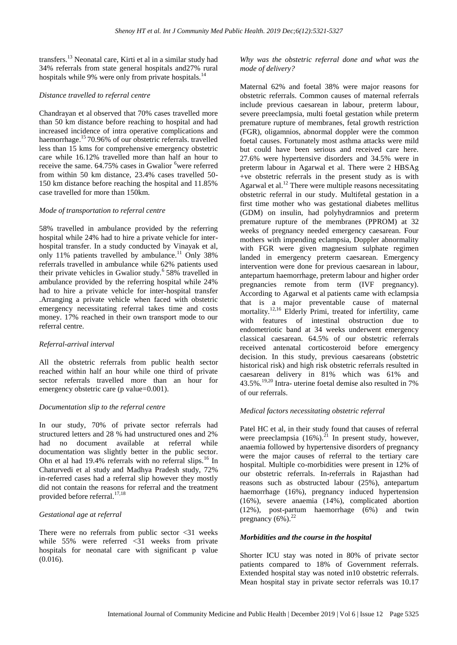transfers.<sup>13</sup> Neonatal care, Kirti et al in a similar study had 34% referrals from state general hospitals and27% rural hospitals while 9% were only from private hospitals.<sup>14</sup>

#### *Distance travelled to referral centre*

Chandrayan et al observed that 70% cases travelled more than 50 km distance before reaching to hospital and had increased incidence of intra operative complications and haemorrhage.<sup>15</sup>70.96% of our obstetric referrals. travelled less than 15 kms for comprehensive emergency obstetric care while 16.12% travelled more than half an hour to receive the same. 64.75% cases in Gwalior <sup>6</sup>were referred from within 50 km distance, 23.4% cases travelled 50- 150 km distance before reaching the hospital and 11.85% case travelled for more than 150km.

#### *Mode of transportation to referral centre*

58% travelled in ambulance provided by the referring hospital while 24% had to hire a private vehicle for interhospital transfer. In a study conducted by Vinayak et al, only 11% patients travelled by ambulance.<sup>11</sup> Only 38% referrals travelled in ambulance while 62% patients used their private vehicles in Gwalior study.<sup>6</sup> 58% travelled in ambulance provided by the referring hospital while 24% had to hire a private vehicle for inter-hospital transfer .Arranging a private vehicle when faced with obstetric emergency necessitating referral takes time and costs money. 17% reached in their own transport mode to our referral centre.

#### *Referral-arrival interval*

All the obstetric referrals from public health sector reached within half an hour while one third of private sector referrals travelled more than an hour for emergency obstetric care (p value=0.001).

## *Documentation slip to the referral centre*

In our study, 70% of private sector referrals had structured letters and 28 % had unstructured ones and 2% had no document available at referral while documentation was slightly better in the public sector. Ohn et al had 19.4% referrals with no referral slips.<sup>16</sup> In Chaturvedi et al study and Madhya Pradesh study, 72% in-referred cases had a referral slip however they mostly did not contain the reasons for referral and the treatment provided before referral.<sup>17,18</sup>

## *Gestational age at referral*

There were no referrals from public sector  $\langle 31 \rangle$  weeks while 55% were referred <31 weeks from private hospitals for neonatal care with significant p value (0.016).

*Why was the obstetric referral done and what was the mode of delivery?*

Maternal 62% and foetal 38% were major reasons for obstetric referrals. Common causes of maternal referrals include previous caesarean in labour, preterm labour, severe preeclampsia, multi foetal gestation while preterm premature rupture of membranes, fetal growth restriction (FGR), oligamnios, abnormal doppler were the common foetal causes. Fortunately most asthma attacks were mild but could have been serious and received care here. 27.6% were hypertensive disorders and 34.5% were in preterm labour in Agarwal et al. There were 2 HBSAg +ve obstetric referrals in the present study as is with Agarwal et al.<sup>12</sup> There were multiple reasons necessitating obstetric referral in our study. Multifetal gestation in a first time mother who was gestational diabetes mellitus (GDM) on insulin, had polyhydramnios and preterm premature rupture of the membranes (PPROM) at 32 weeks of pregnancy needed emergency caesarean. Four mothers with impending eclampsia, Doppler abnormality with FGR were given magnesium sulphate regimen landed in emergency preterm caesarean. Emergency intervention were done for previous caesarean in labour, antepartum haemorrhage, preterm labour and higher order pregnancies remote from term (IVF pregnancy). According to Agarwal et al patients came with eclampsia that is a major preventable cause of maternal mortality.<sup>12,16</sup> Elderly Primi, treated for infertility, came with features of intestinal obstruction due to endometriotic band at 34 weeks underwent emergency classical caesarean. 64.5% of our obstetric referrals received antenatal corticosteroid before emergency decision. In this study, previous caesareans (obstetric historical risk) and high risk obstetric referrals resulted in caesarean delivery in 81% which was 61% and 43.5%.<sup>19,20</sup> Intra- uterine foetal demise also resulted in 7% of our referrals.

#### *Medical factors necessitating obstetric referral*

Patel HC et al, in their study found that causes of referral were preeclampsia  $(16%)$ .<sup>21</sup> In present study, however, anaemia followed by hypertensive disorders of pregnancy were the major causes of referral to the tertiary care hospital. Multiple co-morbidities were present in 12% of our obstetric referrals. In-referrals in Rajasthan had reasons such as obstructed labour (25%), antepartum haemorrhage (16%), pregnancy induced hypertension (16%), severe anaemia (14%), complicated abortion (12%), post-partum haemorrhage (6%) and twin pregnancy  $(6\%)$ <sup>22</sup>

#### *Morbidities and the course in the hospital*

Shorter ICU stay was noted in 80% of private sector patients compared to 18% of Government referrals. Extended hospital stay was noted in10 obstetric referrals. Mean hospital stay in private sector referrals was 10.17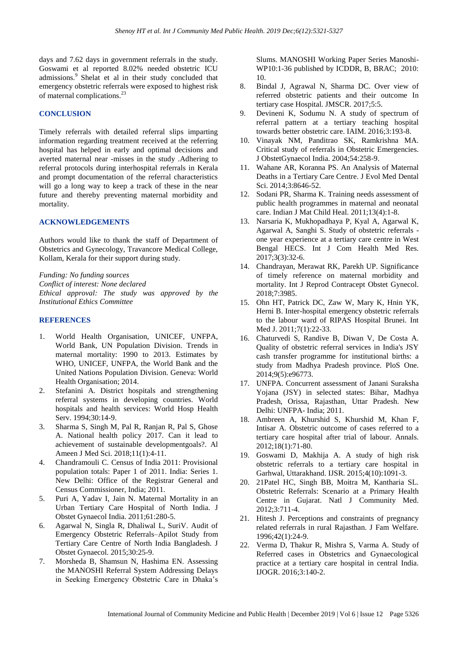days and 7.62 days in government referrals in the study. Goswami et al reported 8.02% needed obstetric ICU admissions.<sup>9</sup> Shelat et al in their study concluded that emergency obstetric referrals were exposed to highest risk of maternal complications.<sup>23</sup>

## **CONCLUSION**

Timely referrals with detailed referral slips imparting information regarding treatment received at the referring hospital has helped in early and optimal decisions and averted maternal near -misses in the study .Adhering to referral protocols during interhospital referrals in Kerala and prompt documentation of the referral characteristics will go a long way to keep a track of these in the near future and thereby preventing maternal morbidity and mortality.

## **ACKNOWLEDGEMENTS**

Authors would like to thank the staff of Department of Obstetrics and Gynecology, Travancore Medical College, Kollam, Kerala for their support during study.

*Funding: No funding sources Conflict of interest: None declared Ethical approval: The study was approved by the Institutional Ethics Committee*

#### **REFERENCES**

- 1. World Health Organisation, UNICEF, UNFPA, World Bank, UN Population Division. Trends in maternal mortality: 1990 to 2013. Estimates by WHO, UNICEF, UNFPA, the World Bank and the United Nations Population Division. Geneva: World Health Organisation; 2014.
- 2. Stefanini A. District hospitals and strengthening referral systems in developing countries. World hospitals and health services: World Hosp Health Serv. 1994;30:14-9.
- 3. Sharma S, Singh M, Pal R, Ranjan R, Pal S, Ghose A. National health policy 2017. Can it lead to achievement of sustainable developmentgoals?. Al Ameen J Med Sci. 2018;11(1):4-11.
- 4. Chandramouli C. Census of India 2011: Provisional population totals: Paper 1 of 2011. India: Series 1. New Delhi: Office of the Registrar General and Census Commissioner, India; 2011.
- 5. Puri A, Yadav I, Jain N. Maternal Mortality in an Urban Tertiary Care Hospital of North India. J Obstet Gynaecol India. 2011;61:280-5.
- 6. Agarwal N, Singla R, Dhaliwal L, SuriV. Audit of Emergency Obstetric Referrals–Apilot Study from Tertiary Care Centre of North India Bangladesh. J Obstet Gynaecol. 2015;30:25-9.
- 7. Morsheda B, Shamsun N, Hashima EN. Assessing the MANOSHI Referral System Addressing Delays in Seeking Emergency Obstetric Care in Dhaka's

Slums. MANOSHI Working Paper Series Manoshi-WP10:1-36 published by ICDDR, B, BRAC; 2010: 10.

- 8. Bindal J, Agrawal N, Sharma DC. Over view of referred obstetric patients and their outcome In tertiary case Hospital. JMSCR. 2017;5:5.
- 9. Devineni K, Sodumu N. A study of spectrum of referral pattern at a tertiary teaching hospital towards better obstetric care. IAIM. 2016;3:193-8.
- 10. Vinayak NM, Panditrao SK, Ramkrishna MA. Critical study of referrals in Obstetric Emergencies. J ObstetGynaecol India. 2004;54:258-9.
- 11. Wahane AR, Koranna PS. An Analysis of Maternal Deaths in a Tertiary Care Centre. J Evol Med Dental Sci. 2014;3:8646-52.
- 12. Sodani PR, Sharma K. Training needs assessment of public health programmes in maternal and neonatal care. Indian J Mat Child Heal. 2011;13(4):1-8.
- 13. Narsaria K, Mukhopadhaya P, Kyal A, Agarwal K, Agarwal A, Sanghi S. Study of obstetric referrals one year experience at a tertiary care centre in West Bengal HECS. Int J Com Health Med Res. 2017;3(3):32-6.
- 14. Chandrayan, Merawat RK, Parekh UP. Significance of timely reference on maternal morbidity and mortality. Int J Reprod Contracept Obstet Gynecol. 2018;7:3985.
- 15. Ohn HT, Patrick DC, Zaw W, Mary K, Hnin YK, Herni B. Inter-hospital emergency obstetric referrals to the labour ward of RIPAS Hospital Brunei. Int Med J. 2011;7(1):22-33.
- 16. Chaturvedi S, Randive B, Diwan V, De Costa A. Quality of obstetric referral services in India's JSY cash transfer programme for institutional births: a study from Madhya Pradesh province. PloS One. 2014;9(5):e96773.
- 17. UNFPA. Concurrent assessment of Janani Suraksha Yojana (JSY) in selected states: Bihar, Madhya Pradesh, Orissa, Rajasthan, Uttar Pradesh. New Delhi: UNFPA- India; 2011.
- 18. Ambreen A, Khurshid S, Khurshid M, Khan F, Intisar A. Obstetric outcome of cases referred to a tertiary care hospital after trial of labour. Annals. 2012;18(1):71-80.
- 19. Goswami D, Makhija A. A study of high risk obstetric referrals to a tertiary care hospital in Garhwal, Uttarakhand. IJSR. 2015;4(10):1091-3.
- 20. 21Patel HC, Singh BB, Moitra M, Kantharia SL. Obstetric Referrals: Scenario at a Primary Health Centre in Gujarat. Natl J Community Med. 2012;3:711-4.
- 21. Hitesh J. Perceptions and constraints of pregnancy related referrals in rural Rajasthan. J Fam Welfare. 1996;42(1):24-9.
- 22. Verma D, Thakur R, Mishra S, Varma A. Study of Referred cases in Obstetrics and Gynaecological practice at a tertiary care hospital in central India. IJOGR. 2016;3:140-2.